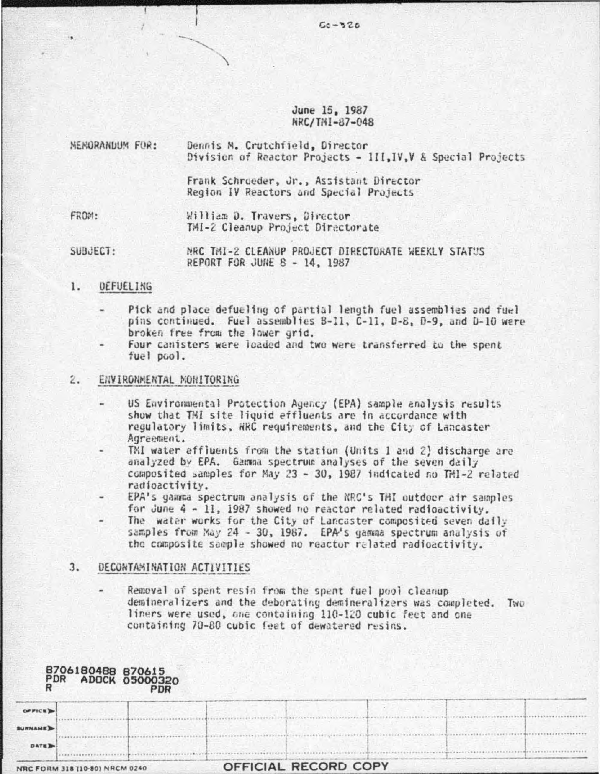## June 15, 1987 NRC/TMI-87-048

 $50 - 326$ 

| MEMORANDUM FOR: | Dennis M. Crutchfield, Director<br>Division of Reactor Projects - 1II, IV, V & Special Projects |  |  |  |  |
|-----------------|-------------------------------------------------------------------------------------------------|--|--|--|--|
|                 | Frank Schroeder, Jr., Assistant Director<br>Region IV Reactors and Special Projects             |  |  |  |  |
| FROM:           | William D. Travers, Director<br>TMI-2 Cleanup Project Directorate                               |  |  |  |  |
| SUBJECT:        | NRC THI-2 CLEANUP PROJECT DIRECTORATE WEEKLY STATUS<br>REPORT FOR JUNE $B = 14$ , 1987          |  |  |  |  |

# 1. DEFUELING

- Pick and place defueling of partial length fuel assemblies and fuel pins continued. Fuel assemblies B-11, C-11, D-8, D-9, and D-10 were broken free from the lower grid.
- Four canisters were loaded and two were transferred to the spent fuel pool.

#### $2.$ ENVIRONMENTAL MONITORING

- US Environmental Protection Agency (EPA) sample analysis results show that TMI site liquid effluents are in accordance with regulatory limits, NRC requirements, and the City of Lancaster Agreement.
- TMI water effluents from the station (Units 1 and 2) discharge are analyzed by EPA. Gamma spectrum analyses of the seven daily composited samples for May 23 - 30, 1987 indicated no TM1-2 related radioactivity.
- EPA's gamma spectrum analysis of the NRC's THI outdoor air samples for June 4 - 11, 1987 showed no reactor related radioactivity.
- The water works for the City of Lancaster composited seven daily samples from May 24 - 30, 1987. EPA's gamma spectrum analysis of the composite sample showed no reactor related radioactivity.

### $3.$ DECONTAMINATION ACTIVITIES

Removal of spent resin from the spent fuel pool cleanup demineralizers and the deborating demineralizers was completed. Two liners were used, one containing 110-120 cubic feet and one containing 70-80 cubic feet of dewatered resins.

|               | <b>PDR ADOCK 05000320</b><br>RDR ADOCK 05000320 |                      |  |
|---------------|-------------------------------------------------|----------------------|--|
| OP FICE B     |                                                 |                      |  |
| <b>URNAME</b> |                                                 |                      |  |
| <b>DATE</b>   |                                                 |                      |  |
|               | <b>IRC FORM 318 (10-80) NRCM 0240</b>           | OFFICIAL RECORD COPY |  |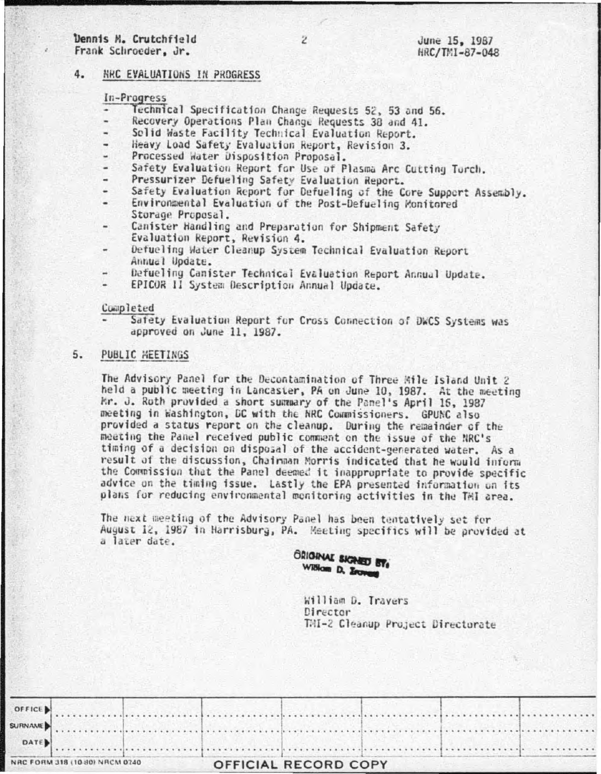## Dennis M. Crutchfield Frank Schroeder, Jr.

June 15, 1987 HRC/TMI-87-048

#### 4. NRC EVALUATIONS IN PROGRESS

# In-Progress

- Technical Specification Change Requests 52, 53 and 56.  $\bullet$
- Recovery Operations Plan Change Requests 38 and 41. ٠
- Solid Waste Facility Technical Evaluation Report.
- Heavy Load Safety Evaluation Report, Revision 3.
- Processed Water Disposition Proposal.
- Safety Evaluation Report for Use of Plasma Arc Cutting Torch.
- Pressurizer Defueling Safety Evaluation Report.
- Safety Evaluation Report for Defueling of the Core Support Assembly.
- Environmental Evaluation of the Post-Defueling Monitored Storage Proposal.
- Canister Handling and Preparation for Shipment Safety Evaluation Report, Revision 4.
- Defueling Water Cleanup System Technical Evaluation Report Annual Update.
- Defueling Canister Technical Evaluation Report Annual Update.
- EPICOR II System Description Annual Update.

### Completed

Safety Evaluation Report for Cross Connection of DWCS Systems was approved on June 11, 1987.

### PUBLIC HEETINGS 5.

The Advisory Panel for the Decontamination of Three Mile Island Unit 2 held a public meeting in Lancaster, PA on June 10, 1987. At the meeting Mr. J. Roth provided a short summary of the Panel's April 15, 1987 meeting in Washington, DC with the NRC Commissioners. GPUNC also provided a status report on the cleanup. During the remainder of the meeting the Panel received public comment on the issue of the NRC's timing of a decision on disposal of the accident-generated water. As a result of the discussion, Chairman Morris indicated that he would inform the Commission that the Panel deemed it inappropriate to provide specific advice on the timing issue. Lastly the EPA presented information on its plans for reducing environmental monitoring activities in the TMI area.

The next meeting of the Advisory Panel has been tentatively set for August 12, 1987 in Harrisburg, PA. Meeting specifics will be provided at a later date.

GRIGINAL SIGNED BY William D. Erones

> William D. Travers Director TMI-2 Cleanup Project Directorate

| OFFICE |                                |  |                      |  |  |
|--------|--------------------------------|--|----------------------|--|--|
|        |                                |  |                      |  |  |
| DATE   |                                |  |                      |  |  |
|        | NRC FORM 318 (10-80) NRCM 0740 |  | OFFICIAL RECORD COPY |  |  |

 $\overline{2}$